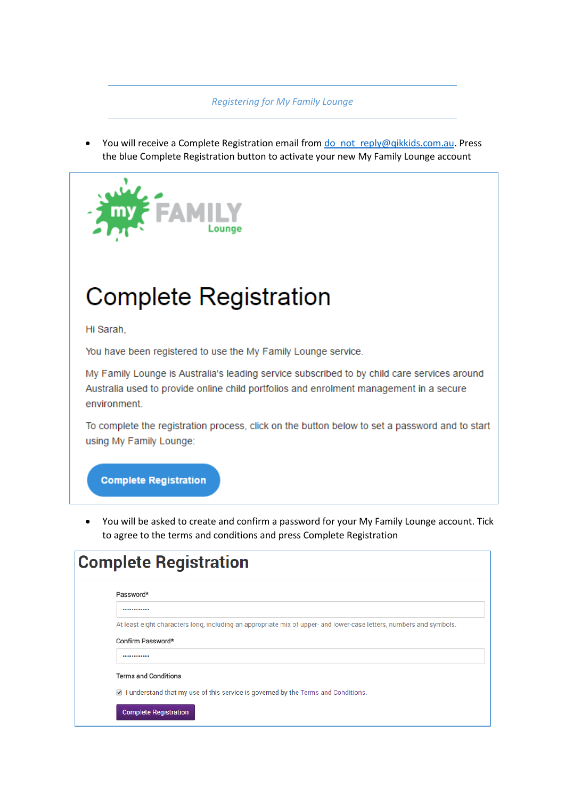#### *Registering for My Family Lounge*

You will receive a Complete Registration email from do not reply@qikkids.com.au. Press the blue Complete Registration button to activate your new My Family Lounge account



# **Complete Registration**

Hi Sarah.

You have been registered to use the My Family Lounge service.

My Family Lounge is Australia's leading service subscribed to by child care services around Australia used to provide online child portfolios and enrolment management in a secure environment.

To complete the registration process, click on the button below to set a password and to start using My Family Lounge:

### **Complete Registration**

 You will be asked to create and confirm a password for your My Family Lounge account. Tick to agree to the terms and conditions and press Complete Registration

| <b>Complete Registration</b>                                                                                        |  |  |  |  |  |  |
|---------------------------------------------------------------------------------------------------------------------|--|--|--|--|--|--|
| Password*                                                                                                           |  |  |  |  |  |  |
|                                                                                                                     |  |  |  |  |  |  |
| At least eight characters long, including an appropriate mix of upper- and lower-case letters, numbers and symbols. |  |  |  |  |  |  |
| Confirm Password*                                                                                                   |  |  |  |  |  |  |
|                                                                                                                     |  |  |  |  |  |  |
| <b>Terms and Conditions</b>                                                                                         |  |  |  |  |  |  |
| 1 understand that my use of this service is governed by the Terms and Conditions.                                   |  |  |  |  |  |  |
| <b>Complete Registration</b>                                                                                        |  |  |  |  |  |  |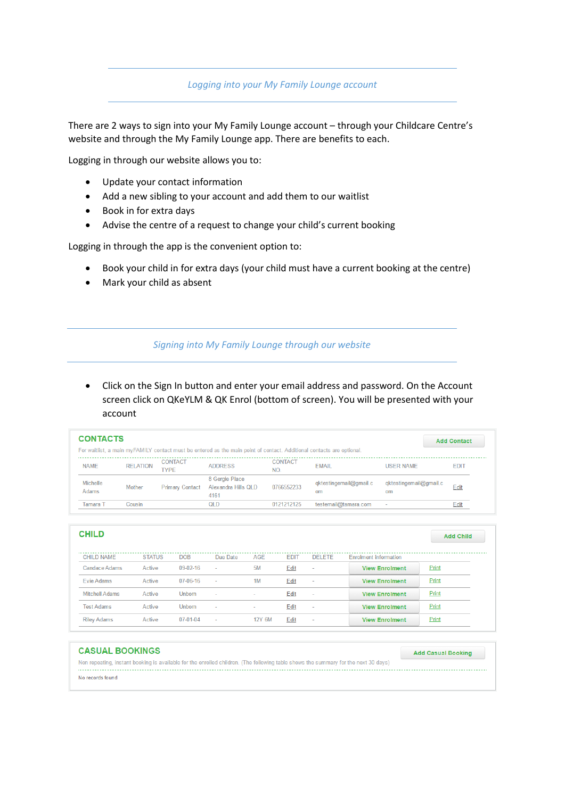*Logging into your My Family Lounge account* 

There are 2 ways to sign into your My Family Lounge account – through your Childcare Centre's website and through the My Family Lounge app. There are benefits to each.

Logging in through our website allows you to:

- Update your contact information
- Add a new sibling to your account and add them to our waitlist
- Book in for extra days
- Advise the centre of a request to change your child's current booking

Logging in through the app is the convenient option to:

- Book your child in for extra days (your child must have a current booking at the centre)
- Mark your child as absent

#### *Signing into My Family Lounge through our website*

 Click on the Sign In button and enter your email address and password. On the Account screen click on QKeYLM & QK Enrol (bottom of screen). You will be presented with your account

| <b>CONTACTS</b>          |                 |                        |                                                                                                                       |                       |                              |                              |             |
|--------------------------|-----------------|------------------------|-----------------------------------------------------------------------------------------------------------------------|-----------------------|------------------------------|------------------------------|-------------|
|                          |                 |                        | For waitlist, a main myFAMILY contact must be entered as the main point of contact. Additional contacts are optional. |                       |                              |                              |             |
| <b>NAME</b>              | <b>RELATION</b> | <b>CONTACT</b><br>TYPE | <b>ADDRESS</b>                                                                                                        | <b>CONTACT</b><br>NO. | <b>EMAIL</b>                 | <b>USER NAME</b>             | <b>EDIT</b> |
| <b>Michelle</b><br>Adams | Mother          | <b>Primary Contact</b> | 8 Gergie Place<br>Alexandra Hills QLD<br>4161                                                                         | 0766552233            | qktestingemail@gmail.c<br>om | qktestingemail@gmail.c<br>om | Edit        |
| Tamara T                 | Cousin          |                        | <b>QLD</b>                                                                                                            | 0121212125            | testemail@tamara.com         |                              | Edit        |

| <b>CHILD</b>          |               |                |                          |               |             |         |                              | <b>Add Child</b> |
|-----------------------|---------------|----------------|--------------------------|---------------|-------------|---------|------------------------------|------------------|
| <b>CHILD NAME</b>     | <b>STATUS</b> | <b>DOB</b>     | Due Date                 | AGE           | <b>FDIT</b> | DELETE. | <b>Enrolment information</b> |                  |
| <b>Candace Adams</b>  | Active        | $09-02-16$     | $\overline{\phantom{a}}$ | <b>5M</b>     | Edit        | $\sim$  | <b>View Enrolment</b>        | Print            |
| Evie Adams            | Active        | $07 - 06 - 16$ | $\sim$                   | 1M            | Edit        | $\sim$  | <b>View Enrolment</b>        | Print            |
| <b>Mitchell Adams</b> | Active        | Unborn         | $\sim$                   | $\sim$        | Edit        | $\sim$  | <b>View Enrolment</b>        | Print            |
| <b>Test Adams</b>     | Active        | Unborn         | $\sim$                   | $\sim$        | Edit        | $\sim$  | <b>View Enrolment</b>        | Print            |
| <b>Riley Adams</b>    | Active        | $07 - 01 - 04$ | $\overline{\phantom{a}}$ | <b>12Y 6M</b> | Edit        | $\sim$  | <b>View Enrolment</b>        | Print            |

| <b>CASUAL BOOKINGS</b>                                                                                                              | <b>Add Casual Booking</b> |
|-------------------------------------------------------------------------------------------------------------------------------------|---------------------------|
| Non repeating, instant booking is available for the enrolled children. (The following table shows the summary for the next 30 days) |                           |
| No records found                                                                                                                    |                           |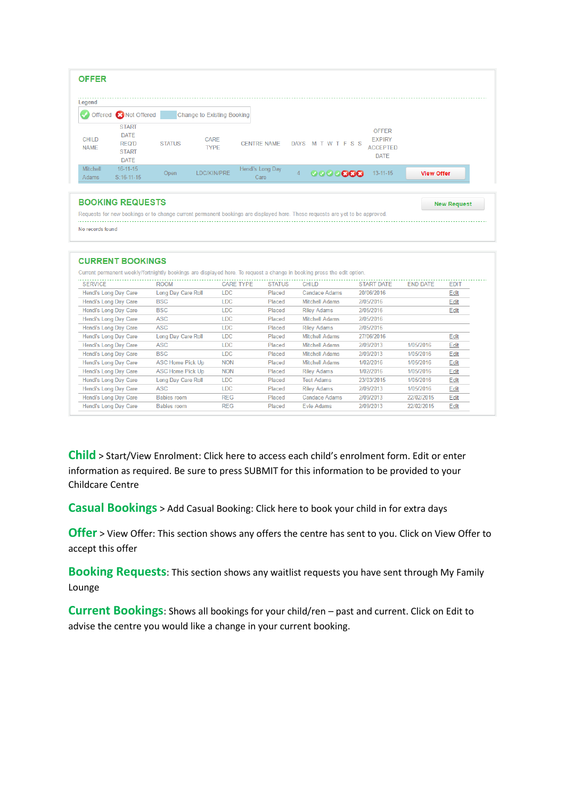| <b>OFFER</b>                |                                                                            |               |                            |                          |                |                    |                                                                 |                   |
|-----------------------------|----------------------------------------------------------------------------|---------------|----------------------------|--------------------------|----------------|--------------------|-----------------------------------------------------------------|-------------------|
| Legend                      | Offered <b>C</b> Not Offered                                               |               | Change to Existing Booking |                          |                |                    |                                                                 |                   |
| <b>CHILD</b><br><b>NAME</b> | <b>START</b><br><b>DATE</b><br><b>REQ'D</b><br><b>START</b><br><b>DATE</b> | <b>STATUS</b> | <b>CARE</b><br><b>TYPE</b> | <b>CENTRE NAME</b>       |                | DAYS M T W T F S S | <b>OFFER</b><br><b>EXPIRY</b><br><b>ACCEPTED</b><br><b>DATE</b> |                   |
| Mitchell<br>Adams           | $16 - 11 - 15$<br>$S:16-11-15$                                             | Open          | LDC/KIN/PRE                | Hendi's Long Day<br>Care | $\overline{4}$ | 0000088            | $13 - 11 - 15$                                                  | <b>View Offer</b> |

#### **BOOKING REQUESTS**

**New Request** Requests for new bookings or to change current permanent bookings are displayed here. These requests are yet to be approved. No records found

| <b>CURRENT BOOKINGS</b>                                                                                                 |                         |                  |               |                       |                   |                 |             |  |
|-------------------------------------------------------------------------------------------------------------------------|-------------------------|------------------|---------------|-----------------------|-------------------|-----------------|-------------|--|
| Current permanent weekly/fortnightly bookings are displayed here. To request a change in booking press the edit option. |                         |                  |               |                       |                   |                 |             |  |
| <b>SERVICE</b>                                                                                                          | <b>ROOM</b>             | <b>CARE TYPE</b> | <b>STATUS</b> | <b>CHILD</b>          | <b>START DATE</b> | <b>END DATE</b> | <b>EDIT</b> |  |
| Hendi's Long Day Care                                                                                                   | Long Day Care Roll      | <b>LDC</b>       | Placed        | <b>Candace Adams</b>  | 20/06/2016        |                 | Edit        |  |
| Hendi's Long Day Care                                                                                                   | <b>BSC</b>              | <b>LDC</b>       | Placed        | <b>Mitchell Adams</b> | 2/05/2016         |                 | Edit        |  |
| Hendi's Long Day Care                                                                                                   | <b>BSC</b>              | <b>LDC</b>       | Placed        | <b>Riley Adams</b>    | 2/05/2016         |                 | Edit        |  |
| Hendi's Long Day Care                                                                                                   | ASC                     | <b>LDC</b>       | Placed        | <b>Mitchell Adams</b> | 2/05/2016         |                 |             |  |
| Hendi's Long Day Care                                                                                                   | ASC                     | <b>LDC</b>       | Placed        | <b>Riley Adams</b>    | 2/05/2016         |                 |             |  |
| Hendi's Long Day Care                                                                                                   | Long Day Care Roll      | <b>LDC</b>       | Placed        | <b>Mitchell Adams</b> | 27/06/2016        |                 | Edit        |  |
| Hendi's Long Day Care                                                                                                   | ASC                     | <b>LDC</b>       | Placed        | <b>Mitchell Adams</b> | 2/09/2013         | 1/05/2016       | Edit        |  |
| Hendi's Long Day Care                                                                                                   | <b>BSC</b>              | <b>LDC</b>       | Placed        | <b>Mitchell Adams</b> | 2/09/2013         | 1/05/2016       | Edit        |  |
| Hendi's Long Day Care                                                                                                   | <b>ASC Home Pick Up</b> | <b>NON</b>       | Placed        | <b>Mitchell Adams</b> | 1/02/2016         | 1/05/2016       | Edit        |  |
| Hendi's Long Day Care                                                                                                   | <b>ASC Home Pick Up</b> | <b>NON</b>       | Placed        | <b>Riley Adams</b>    | 1/02/2016         | 1/05/2016       | Edit        |  |
| Hendi's Long Day Care                                                                                                   | Long Day Care Roll      | LDC              | Placed        | <b>Test Adams</b>     | 23/03/2015        | 1/05/2016       | Edit        |  |
| Hendi's Long Day Care                                                                                                   | ASC                     | <b>LDC</b>       | Placed        | <b>Riley Adams</b>    | 2/09/2013         | 1/05/2016       | Edit        |  |
| Hendi's Long Day Care                                                                                                   | <b>Babies room</b>      | <b>REG</b>       | Placed        | <b>Candace Adams</b>  | 2/09/2013         | 22/02/2015      | Edit        |  |
| Hendi's Long Day Care                                                                                                   | <b>Babies room</b>      | <b>REG</b>       | Placed        | <b>Evie Adams</b>     | 2/09/2013         | 22/02/2015      | Edit        |  |
|                                                                                                                         |                         |                  |               |                       |                   |                 |             |  |

**Child** > Start/View Enrolment: Click here to access each child's enrolment form. Edit or enter information as required. Be sure to press SUBMIT for this information to be provided to your Childcare Centre

**Casual Bookings** > Add Casual Booking: Click here to book your child in for extra days

**Offer** > View Offer: This section shows any offers the centre has sent to you. Click on View Offer to accept this offer

**Booking Requests**: This section shows any waitlist requests you have sent through My Family Lounge

**Current Bookings**: Shows all bookings for your child/ren – past and current. Click on Edit to advise the centre you would like a change in your current booking.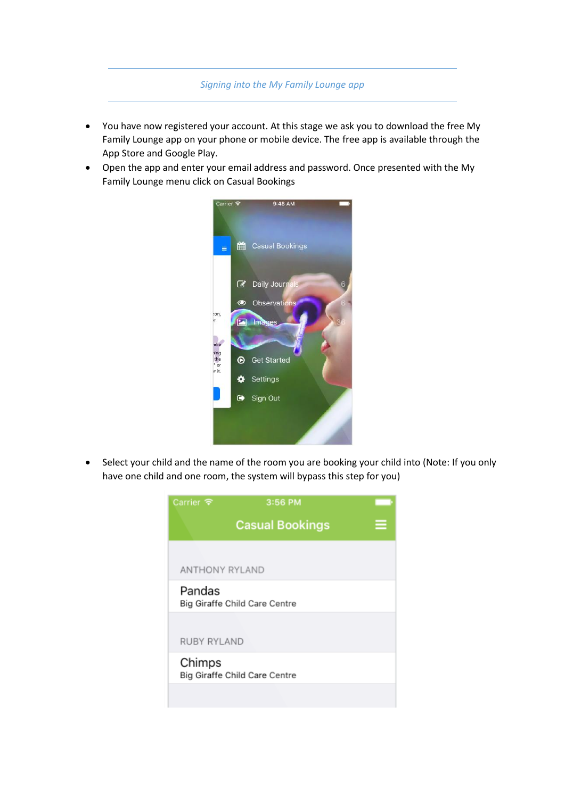## *Signing into the My Family Lounge app*

- You have now registered your account. At this stage we ask you to download the free My Family Lounge app on your phone or mobile device. The free app is available through the App Store and Google Play.
- Open the app and enter your email address and password. Once presented with the My Family Lounge menu click on Casual Bookings



• Select your child and the name of the room you are booking your child into (Note: If you only have one child and one room, the system will bypass this step for you)